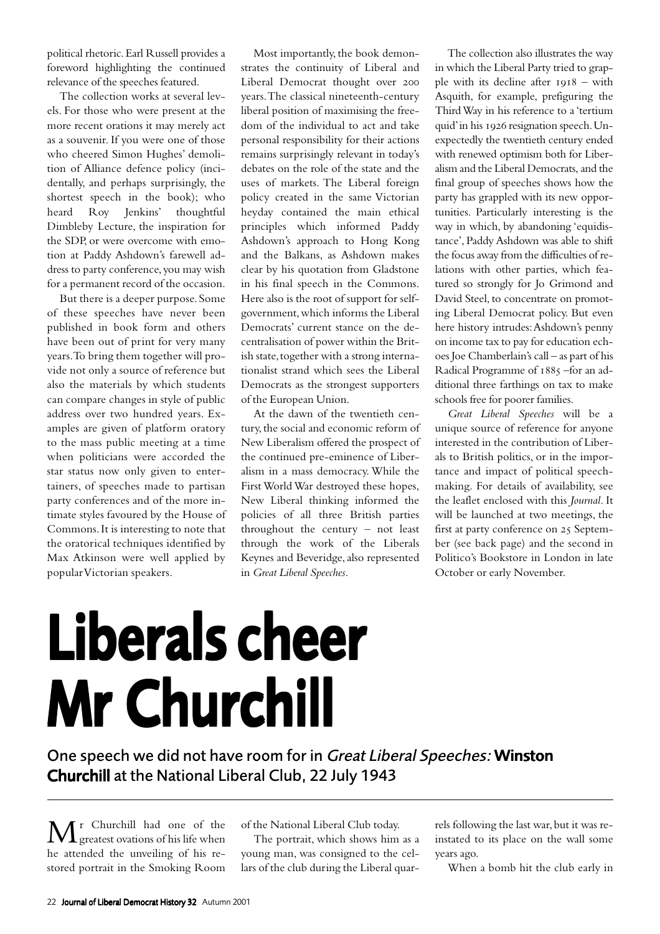political rhetoric. Earl Russell provides a foreword highlighting the continued relevance of the speeches featured.

The collection works at several levels. For those who were present at the more recent orations it may merely act as a souvenir. If you were one of those who cheered Simon Hughes' demolition of Alliance defence policy (incidentally, and perhaps surprisingly, the shortest speech in the book); who heard Roy Jenkins' thoughtful Dimbleby Lecture, the inspiration for the SDP, or were overcome with emotion at Paddy Ashdown's farewell address to party conference, you may wish for a permanent record of the occasion.

But there is a deeper purpose. Some of these speeches have never been published in book form and others have been out of print for very many years. To bring them together will provide not only a source of reference but also the materials by which students can compare changes in style of public address over two hundred years. Examples are given of platform oratory to the mass public meeting at a time when politicians were accorded the star status now only given to entertainers, of speeches made to partisan party conferences and of the more intimate styles favoured by the House of Commons. It is interesting to note that the oratorical techniques identified by Max Atkinson were well applied by popular Victorian speakers.

Most importantly, the book demonstrates the continuity of Liberal and Liberal Democrat thought over 200 years. The classical nineteenth-century liberal position of maximising the freedom of the individual to act and take personal responsibility for their actions remains surprisingly relevant in today's debates on the role of the state and the uses of markets. The Liberal foreign policy created in the same Victorian heyday contained the main ethical principles which informed Paddy Ashdown's approach to Hong Kong and the Balkans, as Ashdown makes clear by his quotation from Gladstone in his final speech in the Commons. Here also is the root of support for selfgovernment, which informs the Liberal Democrats' current stance on the decentralisation of power within the British state, together with a strong internationalist strand which sees the Liberal Democrats as the strongest supporters of the European Union.

At the dawn of the twentieth century, the social and economic reform of New Liberalism offered the prospect of the continued pre-eminence of Liberalism in a mass democracy. While the First World War destroyed these hopes, New Liberal thinking informed the policies of all three British parties throughout the century – not least through the work of the Liberals Keynes and Beveridge, also represented in *Great Liberal Speeches*.

The collection also illustrates the way in which the Liberal Party tried to grapple with its decline after  $1918 - \text{with}$ Asquith, for example, prefiguring the Third Way in his reference to a 'tertium quid' in his 1926 resignation speech. Unexpectedly the twentieth century ended with renewed optimism both for Liberalism and the Liberal Democrats, and the final group of speeches shows how the party has grappled with its new opportunities. Particularly interesting is the way in which, by abandoning 'equidistance', Paddy Ashdown was able to shift the focus away from the difficulties of relations with other parties, which featured so strongly for Jo Grimond and David Steel, to concentrate on promoting Liberal Democrat policy. But even here history intrudes: Ashdown's penny on income tax to pay for education echoes Joe Chamberlain's call – as part of his Radical Programme of 1885 -for an additional three farthings on tax to make schools free for poorer families.

*Great Liberal Speeches* will be a unique source of reference for anyone interested in the contribution of Liberals to British politics, or in the importance and impact of political speechmaking. For details of availability, see the leaflet enclosed with this *Journal.* It will be launched at two meetings, the first at party conference on 25 September (see back page) and the second in Politico's Bookstore in London in late October or early November.

## Liberals cheer Mr Churchill

One speech we did not have room for in Great Liberal Speeches: Winston Churchill at the National Liberal Club, 22 July 1943

 $\mathbf{M}$ <sup>r</sup> Churchill had one of the species ovations of his life when he attended the unveiling of his restored portrait in the Smoking Room

of the National Liberal Club today.

The portrait, which shows him as a young man, was consigned to the cellars of the club during the Liberal quarrels following the last war, but it was reinstated to its place on the wall some years ago.

When a bomb hit the club early in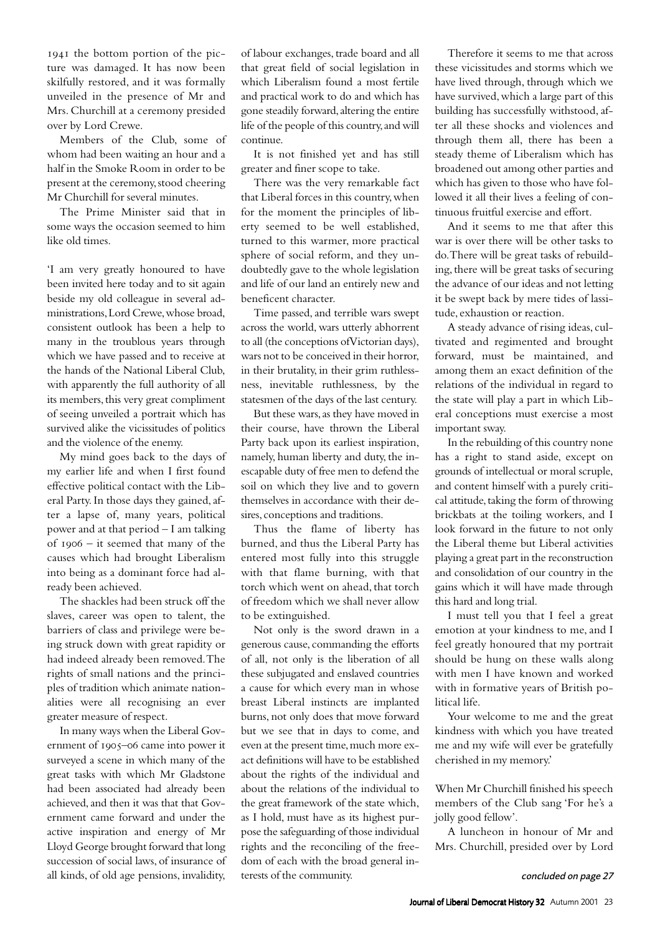1941 the bottom portion of the picture was damaged. It has now been skilfully restored, and it was formally unveiled in the presence of Mr and Mrs. Churchill at a ceremony presided over by Lord Crewe.

Members of the Club, some of whom had been waiting an hour and a half in the Smoke Room in order to be present at the ceremony, stood cheering Mr Churchill for several minutes.

The Prime Minister said that in some ways the occasion seemed to him like old times.

'I am very greatly honoured to have been invited here today and to sit again beside my old colleague in several administrations, Lord Crewe, whose broad, consistent outlook has been a help to many in the troublous years through which we have passed and to receive at the hands of the National Liberal Club, with apparently the full authority of all its members, this very great compliment of seeing unveiled a portrait which has survived alike the vicissitudes of politics and the violence of the enemy.

My mind goes back to the days of my earlier life and when I first found effective political contact with the Liberal Party. In those days they gained, after a lapse of, many years, political power and at that period – I am talking of  $1906 - it$  seemed that many of the causes which had brought Liberalism into being as a dominant force had already been achieved.

The shackles had been struck off the slaves, career was open to talent, the barriers of class and privilege were being struck down with great rapidity or had indeed already been removed. The rights of small nations and the principles of tradition which animate nationalities were all recognising an ever greater measure of respect.

In many ways when the Liberal Government of 1905-06 came into power it surveyed a scene in which many of the great tasks with which Mr Gladstone had been associated had already been achieved, and then it was that that Government came forward and under the active inspiration and energy of Mr Lloyd George brought forward that long succession of social laws, of insurance of all kinds, of old age pensions, invalidity,

of labour exchanges, trade board and all that great field of social legislation in which Liberalism found a most fertile and practical work to do and which has gone steadily forward, altering the entire life of the people of this country, and will continue.

It is not finished yet and has still greater and finer scope to take.

There was the very remarkable fact that Liberal forces in this country, when for the moment the principles of liberty seemed to be well established, turned to this warmer, more practical sphere of social reform, and they undoubtedly gave to the whole legislation and life of our land an entirely new and beneficent character.

Time passed, and terrible wars swept across the world, wars utterly abhorrent to all (the conceptions of Victorian days), wars not to be conceived in their horror, in their brutality, in their grim ruthlessness, inevitable ruthlessness, by the statesmen of the days of the last century.

But these wars, as they have moved in their course, have thrown the Liberal Party back upon its earliest inspiration, namely, human liberty and duty, the inescapable duty of free men to defend the soil on which they live and to govern themselves in accordance with their desires, conceptions and traditions.

Thus the flame of liberty has burned, and thus the Liberal Party has entered most fully into this struggle with that flame burning, with that torch which went on ahead, that torch of freedom which we shall never allow to be extinguished.

Not only is the sword drawn in a generous cause, commanding the efforts of all, not only is the liberation of all these subjugated and enslaved countries a cause for which every man in whose breast Liberal instincts are implanted burns, not only does that move forward but we see that in days to come, and even at the present time, much more exact definitions will have to be established about the rights of the individual and about the relations of the individual to the great framework of the state which, as I hold, must have as its highest purpose the safeguarding of those individual rights and the reconciling of the freedom of each with the broad general interests of the community.

Therefore it seems to me that across these vicissitudes and storms which we have lived through, through which we have survived, which a large part of this building has successfully withstood, after all these shocks and violences and through them all, there has been a steady theme of Liberalism which has broadened out among other parties and which has given to those who have followed it all their lives a feeling of continuous fruitful exercise and effort.

And it seems to me that after this war is over there will be other tasks to do. There will be great tasks of rebuilding, there will be great tasks of securing the advance of our ideas and not letting it be swept back by mere tides of lassitude, exhaustion or reaction.

A steady advance of rising ideas, cultivated and regimented and brought forward, must be maintained, and among them an exact definition of the relations of the individual in regard to the state will play a part in which Liberal conceptions must exercise a most important sway.

In the rebuilding of this country none has a right to stand aside, except on grounds of intellectual or moral scruple, and content himself with a purely critical attitude, taking the form of throwing brickbats at the toiling workers, and I look forward in the future to not only the Liberal theme but Liberal activities playing a great part in the reconstruction and consolidation of our country in the gains which it will have made through this hard and long trial.

I must tell you that I feel a great emotion at your kindness to me, and I feel greatly honoured that my portrait should be hung on these walls along with men I have known and worked with in formative years of British political life.

Your welcome to me and the great kindness with which you have treated me and my wife will ever be gratefully cherished in my memory.'

When Mr Churchill finished his speech members of the Club sang 'For he's a jolly good fellow'.

A luncheon in honour of Mr and Mrs. Churchill, presided over by Lord